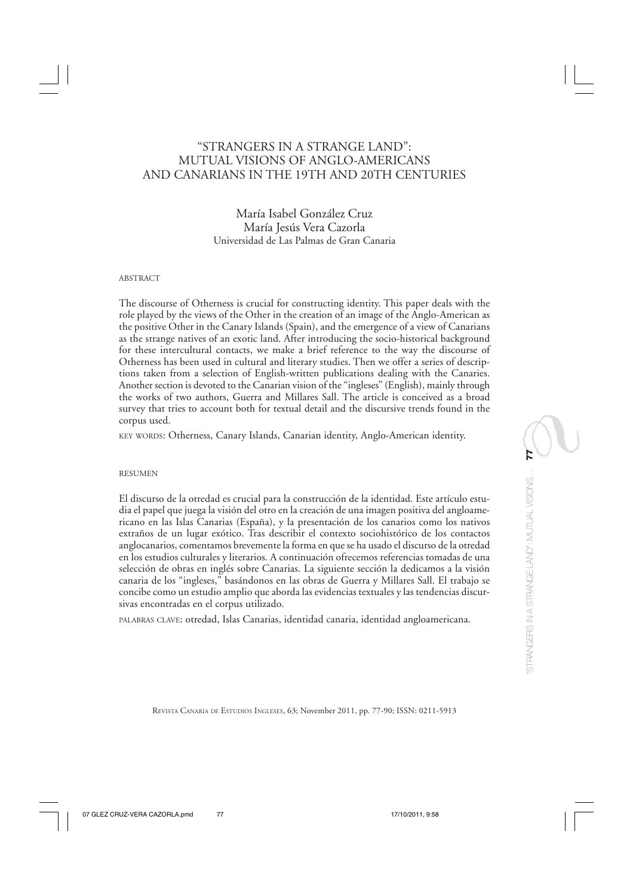# "STRANGERS IN A STRANGE LAND": MUTUAL VISIONS OF ANGLO-AMERICANS AND CANARIANS IN THE 19TH AND 20TH CENTURIES

María Isabel González Cruz María Jesús Vera Cazorla Universidad de Las Palmas de Gran Canaria

#### ABSTRACT

The discourse of Otherness is crucial for constructing identity. This paper deals with the role played by the views of the Other in the creation of an image of the Anglo-American as the positive Other in the Canary Islands (Spain), and the emergence of a view of Canarians as the strange natives of an exotic land. After introducing the socio-historical background for these intercultural contacts, we make a brief reference to the way the discourse of Otherness has been used in cultural and literary studies. Then we offer a series of descriptions taken from a selection of English-written publications dealing with the Canaries. Another section is devoted to the Canarian vision of the "ingleses" (English), mainly through the works of two authors, Guerra and Millares Sall. The article is conceived as a broad survey that tries to account both for textual detail and the discursive trends found in the corpus used.

KEY WORDS: Otherness, Canary Islands, Canarian identity, Anglo-American identity.

#### RESUMEN

El discurso de la otredad es crucial para la construcción de la identidad. Este artículo estudia el papel que juega la visión del otro en la creación de una imagen positiva del angloamericano en las Islas Canarias (España), y la presentación de los canarios como los nativos extraños de un lugar exótico. Tras describir el contexto sociohistórico de los contactos anglocanarios, comentamos brevemente la forma en que se ha usado el discurso de la otredad en los estudios culturales y literarios. A continuación ofrecemos referencias tomadas de una selección de obras en inglés sobre Canarias. La siguiente sección la dedicamos a la visión canaria de los "ingleses," basándonos en las obras de Guerra y Millares Sall. El trabajo se concibe como un estudio amplio que aborda las evidencias textuales y las tendencias discursivas encontradas en el corpus utilizado.

PALABRAS CLAVE: otredad, Islas Canarias, identidad canaria, identidad angloamericana.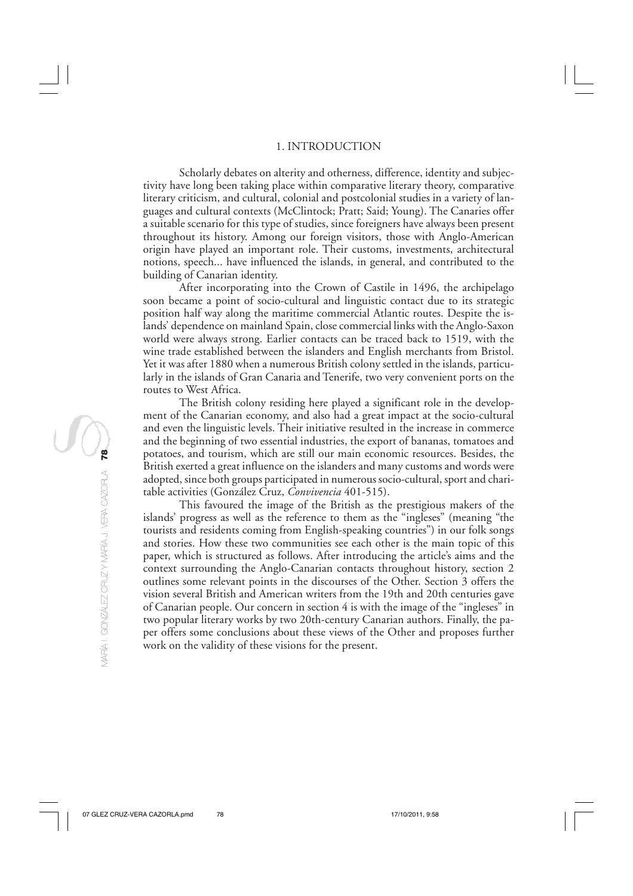### 1. INTRODUCTION

Scholarly debates on alterity and otherness, difference, identity and subjectivity have long been taking place within comparative literary theory, comparative literary criticism, and cultural, colonial and postcolonial studies in a variety of languages and cultural contexts (McClintock; Pratt; Said; Young). The Canaries offer a suitable scenario for this type of studies, since foreigners have always been present throughout its history. Among our foreign visitors, those with Anglo-American origin have played an important role. Their customs, investments, architectural notions, speech... have influenced the islands, in general, and contributed to the building of Canarian identity.

After incorporating into the Crown of Castile in 1496, the archipelago soon became a point of socio-cultural and linguistic contact due to its strategic position half way along the maritime commercial Atlantic routes. Despite the islands' dependence on mainland Spain, close commercial links with the Anglo-Saxon world were always strong. Earlier contacts can be traced back to 1519, with the wine trade established between the islanders and English merchants from Bristol. Yet it was after 1880 when a numerous British colony settled in the islands, particularly in the islands of Gran Canaria and Tenerife, two very convenient ports on the routes to West Africa.

The British colony residing here played a significant role in the development of the Canarian economy, and also had a great impact at the socio-cultural and even the linguistic levels. Their initiative resulted in the increase in commerce and the beginning of two essential industries, the export of bananas, tomatoes and potatoes, and tourism, which are still our main economic resources. Besides, the British exerted a great influence on the islanders and many customs and words were adopted, since both groups participated in numerous socio-cultural, sport and charitable activities (González Cruz, *Convivencia* 401-515).

This favoured the image of the British as the prestigious makers of the islands' progress as well as the reference to them as the "ingleses" (meaning "the tourists and residents coming from English-speaking countries") in our folk songs and stories. How these two communities see each other is the main topic of this paper, which is structured as follows. After introducing the article's aims and the context surrounding the Anglo-Canarian contacts throughout history, section 2 outlines some relevant points in the discourses of the Other. Section 3 offers the vision several British and American writers from the 19th and 20th centuries gave of Canarian people. Our concern in section 4 is with the image of the "ingleses" in two popular literary works by two 20th-century Canarian authors. Finally, the paper offers some conclusions about these views of the Other and proposes further work on the validity of these visions for the present.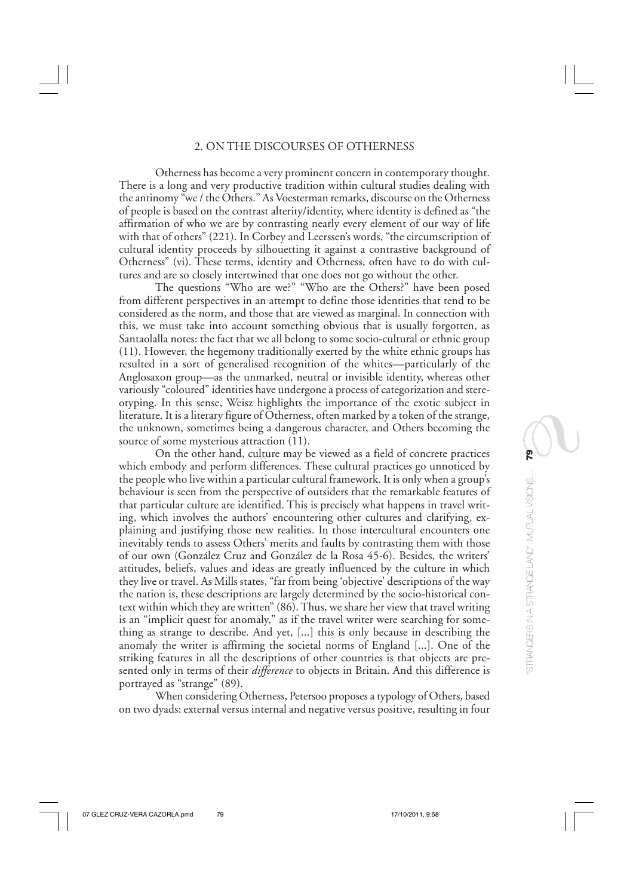### 2. ON THE DISCOURSES OF OTHERNESS

Otherness has become a very prominent concern in contemporary thought. There is a long and very productive tradition within cultural studies dealing with the antinomy "we / the Others." As Voesterman remarks, discourse on the Otherness of people is based on the contrast alterity/identity, where identity is defined as "the affirmation of who we are by contrasting nearly every element of our way of life with that of others" (221). In Corbey and Leerssen's words, "the circumscription of cultural identity proceeds by silhouetting it against a contrastive background of Otherness" (vi). These terms, identity and Otherness, often have to do with cultures and are so closely intertwined that one does not go without the other.

The questions "Who are we?" "Who are the Others?" have been posed from different perspectives in an attempt to define those identities that tend to be considered as the norm, and those that are viewed as marginal. In connection with this, we must take into account something obvious that is usually forgotten, as Santaolalla notes: the fact that we all belong to some socio-cultural or ethnic group (11). However, the hegemony traditionally exerted by the white ethnic groups has resulted in a sort of generalised recognition of the whites—particularly of the Anglosaxon group—as the unmarked, neutral or invisible identity, whereas other variously "coloured" identities have undergone a process of categorization and stereotyping. In this sense, Weisz highlights the importance of the exotic subject in literature. It is a literary figure of Otherness, often marked by a token of the strange, the unknown, sometimes being a dangerous character, and Others becoming the source of some mysterious attraction (11).

On the other hand, culture may be viewed as a field of concrete practices which embody and perform differences. These cultural practices go unnoticed by the people who live within a particular cultural framework. It is only when a group's behaviour is seen from the perspective of outsiders that the remarkable features of that particular culture are identified. This is precisely what happens in travel writing, which involves the authors' encountering other cultures and clarifying, explaining and justifying those new realities. In those intercultural encounters one inevitably tends to assess Others' merits and faults by contrasting them with those of our own (González Cruz and González de la Rosa 45-6). Besides, the writers' attitudes, beliefs, values and ideas are greatly influenced by the culture in which they live or travel. As Mills states, "far from being 'objective' descriptions of the way the nation is, these descriptions are largely determined by the socio-historical context within which they are written" (86). Thus, we share her view that travel writing is an "implicit quest for anomaly," as if the travel writer were searching for something as strange to describe. And yet, [...] this is only because in describing the anomaly the writer is affirming the societal norms of England [...]. One of the striking features in all the descriptions of other countries is that objects are presented only in terms of their *difference* to objects in Britain. And this difference is portrayed as "strange" (89).

When considering Otherness, Petersoo proposes a typology of Others, based on two dyads: external versus internal and negative versus positive, resulting in four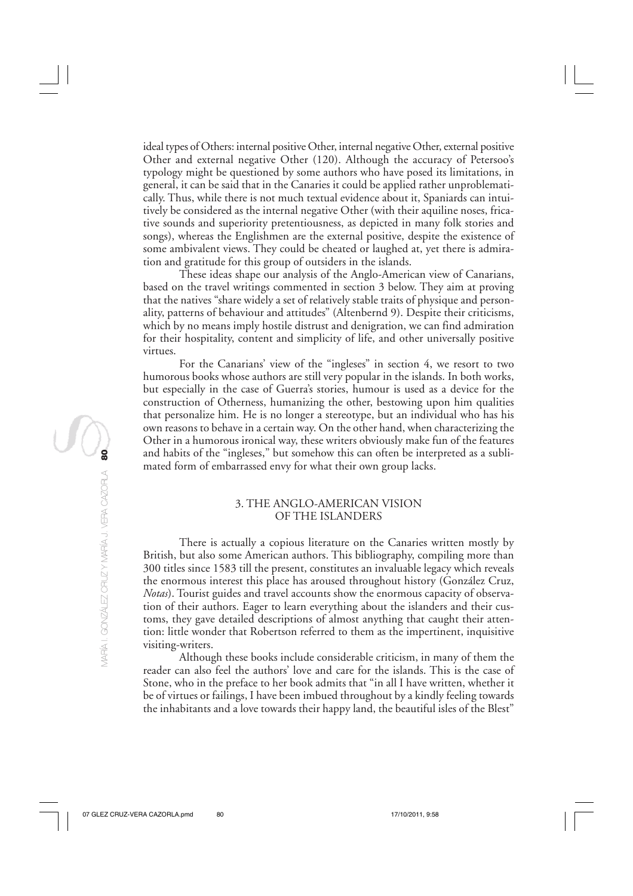ideal types of Others: internal positive Other, internal negative Other, external positive Other and external negative Other (120). Although the accuracy of Petersoo's typology might be questioned by some authors who have posed its limitations, in general, it can be said that in the Canaries it could be applied rather unproblematically. Thus, while there is not much textual evidence about it, Spaniards can intuitively be considered as the internal negative Other (with their aquiline noses, fricative sounds and superiority pretentiousness, as depicted in many folk stories and songs), whereas the Englishmen are the external positive, despite the existence of some ambivalent views. They could be cheated or laughed at, yet there is admiration and gratitude for this group of outsiders in the islands.

These ideas shape our analysis of the Anglo-American view of Canarians, based on the travel writings commented in section 3 below. They aim at proving that the natives "share widely a set of relatively stable traits of physique and personality, patterns of behaviour and attitudes" (Altenbernd 9). Despite their criticisms, which by no means imply hostile distrust and denigration, we can find admiration for their hospitality, content and simplicity of life, and other universally positive virtues.

For the Canarians' view of the "ingleses" in section 4, we resort to two humorous books whose authors are still very popular in the islands. In both works, but especially in the case of Guerra's stories, humour is used as a device for the construction of Otherness, humanizing the other, bestowing upon him qualities that personalize him. He is no longer a stereotype, but an individual who has his own reasons to behave in a certain way. On the other hand, when characterizing the Other in a humorous ironical way, these writers obviously make fun of the features and habits of the "ingleses," but somehow this can often be interpreted as a sublimated form of embarrassed envy for what their own group lacks.

# 3. THE ANGLO-AMERICAN VISION OF THE ISLANDERS

There is actually a copious literature on the Canaries written mostly by British, but also some American authors. This bibliography, compiling more than 300 titles since 1583 till the present, constitutes an invaluable legacy which reveals the enormous interest this place has aroused throughout history (González Cruz, *Notas*). Tourist guides and travel accounts show the enormous capacity of observation of their authors. Eager to learn everything about the islanders and their customs, they gave detailed descriptions of almost anything that caught their attention: little wonder that Robertson referred to them as the impertinent, inquisitive visiting-writers.

Although these books include considerable criticism, in many of them the reader can also feel the authors' love and care for the islands. This is the case of Stone, who in the preface to her book admits that "in all I have written, whether it be of virtues or failings, I have been imbued throughout by a kindly feeling towards the inhabitants and a love towards their happy land, the beautiful isles of the Blest"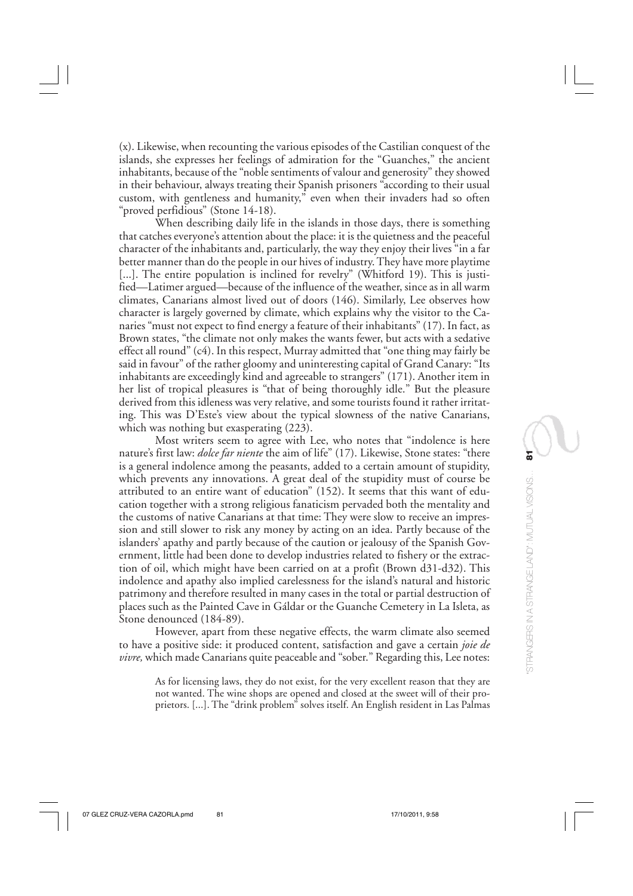(x). Likewise, when recounting the various episodes of the Castilian conquest of the islands, she expresses her feelings of admiration for the "Guanches," the ancient inhabitants, because of the "noble sentiments of valour and generosity" they showed in their behaviour, always treating their Spanish prisoners "according to their usual custom, with gentleness and humanity," even when their invaders had so often "proved perfidious" (Stone 14-18).

When describing daily life in the islands in those days, there is something that catches everyone's attention about the place: it is the quietness and the peaceful character of the inhabitants and, particularly, the way they enjoy their lives "in a far better manner than do the people in our hives of industry. They have more playtime [...]. The entire population is inclined for revelry" (Whitford 19). This is justified—Latimer argued—because of the influence of the weather, since as in all warm climates, Canarians almost lived out of doors (146). Similarly, Lee observes how character is largely governed by climate, which explains why the visitor to the Canaries "must not expect to find energy a feature of their inhabitants" (17). In fact, as Brown states, "the climate not only makes the wants fewer, but acts with a sedative effect all round" (c4). In this respect, Murray admitted that "one thing may fairly be said in favour" of the rather gloomy and uninteresting capital of Grand Canary: "Its inhabitants are exceedingly kind and agreeable to strangers" (171). Another item in her list of tropical pleasures is "that of being thoroughly idle." But the pleasure derived from this idleness was very relative, and some tourists found it rather irritating. This was D'Este's view about the typical slowness of the native Canarians, which was nothing but exasperating  $(223)$ .

Most writers seem to agree with Lee, who notes that "indolence is here nature's first law: *dolce far niente* the aim of life" (17). Likewise, Stone states: "there is a general indolence among the peasants, added to a certain amount of stupidity, which prevents any innovations. A great deal of the stupidity must of course be attributed to an entire want of education" (152). It seems that this want of education together with a strong religious fanaticism pervaded both the mentality and the customs of native Canarians at that time: They were slow to receive an impression and still slower to risk any money by acting on an idea. Partly because of the islanders' apathy and partly because of the caution or jealousy of the Spanish Government, little had been done to develop industries related to fishery or the extraction of oil, which might have been carried on at a profit (Brown d31-d32). This indolence and apathy also implied carelessness for the island's natural and historic patrimony and therefore resulted in many cases in the total or partial destruction of places such as the Painted Cave in Gáldar or the Guanche Cemetery in La Isleta, as Stone denounced (184-89).

However, apart from these negative effects, the warm climate also seemed to have a positive side: it produced content, satisfaction and gave a certain *joie de vivre,* which made Canarians quite peaceable and "sober." Regarding this, Lee notes:

As for licensing laws, they do not exist, for the very excellent reason that they are not wanted. The wine shops are opened and closed at the sweet will of their proprietors. [...]. The "drink problem" solves itself. An English resident in Las Palmas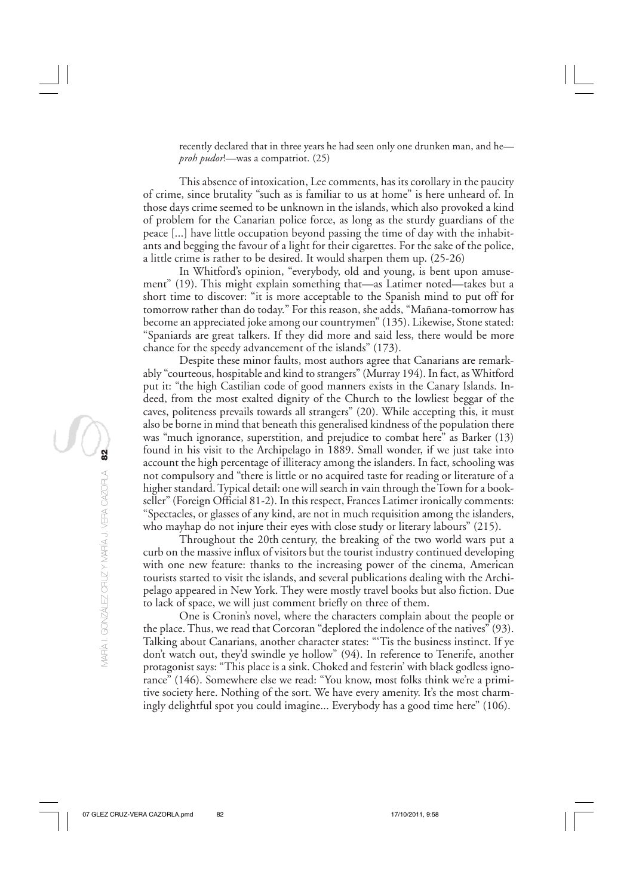recently declared that in three years he had seen only one drunken man, and he *proh pudor*!*—*was a compatriot. (25)

This absence of intoxication, Lee comments, has its corollary in the paucity of crime, since brutality "such as is familiar to us at home" is here unheard of. In those days crime seemed to be unknown in the islands, which also provoked a kind of problem for the Canarian police force, as long as the sturdy guardians of the peace [...] have little occupation beyond passing the time of day with the inhabitants and begging the favour of a light for their cigarettes. For the sake of the police, a little crime is rather to be desired. It would sharpen them up. (25-26)

In Whitford's opinion, "everybody, old and young, is bent upon amusement" (19). This might explain something that—as Latimer noted—takes but a short time to discover: "it is more acceptable to the Spanish mind to put off for tomorrow rather than do today." For this reason, she adds, "Mañana-tomorrow has become an appreciated joke among our countrymen" (135). Likewise, Stone stated: "Spaniards are great talkers. If they did more and said less, there would be more chance for the speedy advancement of the islands" (173).

Despite these minor faults, most authors agree that Canarians are remarkably "courteous, hospitable and kind to strangers" (Murray 194). In fact, as Whitford put it: "the high Castilian code of good manners exists in the Canary Islands. Indeed, from the most exalted dignity of the Church to the lowliest beggar of the caves, politeness prevails towards all strangers" (20). While accepting this, it must also be borne in mind that beneath this generalised kindness of the population there was "much ignorance, superstition, and prejudice to combat here" as Barker (13) found in his visit to the Archipelago in 1889. Small wonder, if we just take into account the high percentage of illiteracy among the islanders. In fact, schooling was not compulsory and "there is little or no acquired taste for reading or literature of a higher standard. Typical detail: one will search in vain through the Town for a bookseller" (Foreign Official 81-2). In this respect, Frances Latimer ironically comments: "Spectacles, or glasses of any kind, are not in much requisition among the islanders, who mayhap do not injure their eyes with close study or literary labours" (215).

Throughout the 20th century, the breaking of the two world wars put a curb on the massive influx of visitors but the tourist industry continued developing with one new feature: thanks to the increasing power of the cinema, American tourists started to visit the islands, and several publications dealing with the Archipelago appeared in New York. They were mostly travel books but also fiction. Due to lack of space, we will just comment briefly on three of them.

One is Cronin's novel, where the characters complain about the people or the place. Thus, we read that Corcoran "deplored the indolence of the natives" (93). Talking about Canarians, another character states: "'Tis the business instinct. If ye don't watch out, they'd swindle ye hollow" (94). In reference to Tenerife, another protagonist says: "This place is a sink. Choked and festerin' with black godless ignorance" (146). Somewhere else we read: "You know, most folks think we're a primitive society here. Nothing of the sort. We have every amenity. It's the most charmingly delightful spot you could imagine... Everybody has a good time here" (106).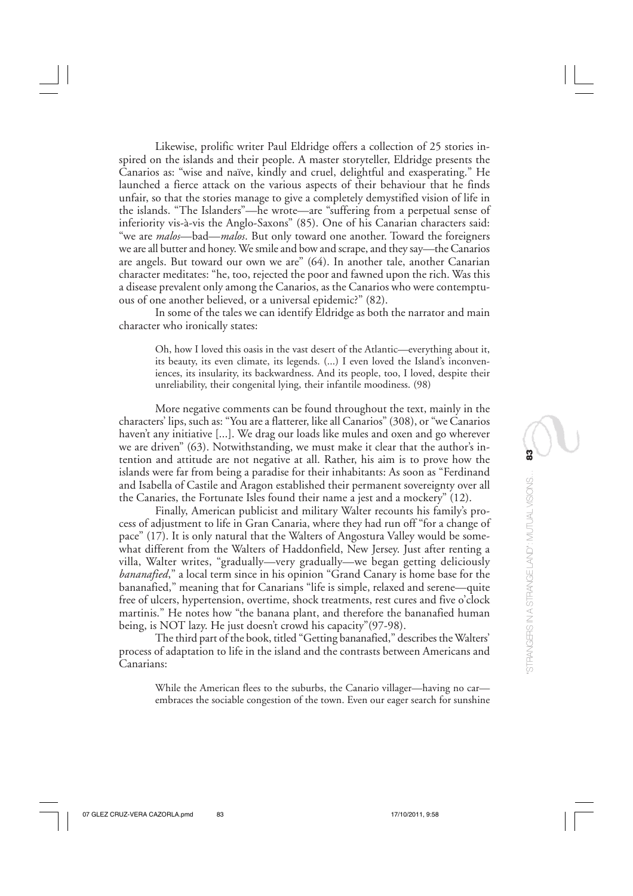Likewise, prolific writer Paul Eldridge offers a collection of 25 stories inspired on the islands and their people. A master storyteller, Eldridge presents the Canarios as: "wise and naïve, kindly and cruel, delightful and exasperating." He launched a fierce attack on the various aspects of their behaviour that he finds unfair, so that the stories manage to give a completely demystified vision of life in the islands. "The Islanders"—he wrote—are "suffering from a perpetual sense of inferiority vis-à-vis the Anglo-Saxons" (85). One of his Canarian characters said: "we are *malos*—bad—*malos*. But only toward one another. Toward the foreigners we are all butter and honey. We smile and bow and scrape, and they say—the Canarios are angels. But toward our own we are" (64). In another tale, another Canarian character meditates: "he, too, rejected the poor and fawned upon the rich. Was this a disease prevalent only among the Canarios, as the Canarios who were contemptuous of one another believed, or a universal epidemic?" (82).

In some of the tales we can identify Eldridge as both the narrator and main character who ironically states:

Oh, how I loved this oasis in the vast desert of the Atlantic—everything about it, its beauty, its even climate, its legends. (...) I even loved the Island's inconveniences, its insularity, its backwardness. And its people, too, I loved, despite their unreliability, their congenital lying, their infantile moodiness. (98)

More negative comments can be found throughout the text, mainly in the characters' lips, such as: "You are a flatterer, like all Canarios" (308), or "we Canarios haven't any initiative [...]. We drag our loads like mules and oxen and go wherever we are driven" (63). Notwithstanding, we must make it clear that the author's intention and attitude are not negative at all. Rather, his aim is to prove how the islands were far from being a paradise for their inhabitants: As soon as "Ferdinand and Isabella of Castile and Aragon established their permanent sovereignty over all the Canaries, the Fortunate Isles found their name a jest and a mockery" (12).

Finally, American publicist and military Walter recounts his family's process of adjustment to life in Gran Canaria, where they had run off "for a change of pace" (17). It is only natural that the Walters of Angostura Valley would be somewhat different from the Walters of Haddonfield, New Jersey. Just after renting a villa, Walter writes, "gradually—very gradually—we began getting deliciously *bananafied*," a local term since in his opinion "Grand Canary is home base for the bananafied," meaning that for Canarians "life is simple, relaxed and serene—quite free of ulcers, hypertension, overtime, shock treatments, rest cures and five o'clock martinis." He notes how "the banana plant, and therefore the bananafied human being, is NOT lazy. He just doesn't crowd his capacity"(97-98).

The third part of the book, titled "Getting bananafied," describes the Walters' process of adaptation to life in the island and the contrasts between Americans and Canarians:

While the American flees to the suburbs, the Canario villager—having no car embraces the sociable congestion of the town. Even our eager search for sunshine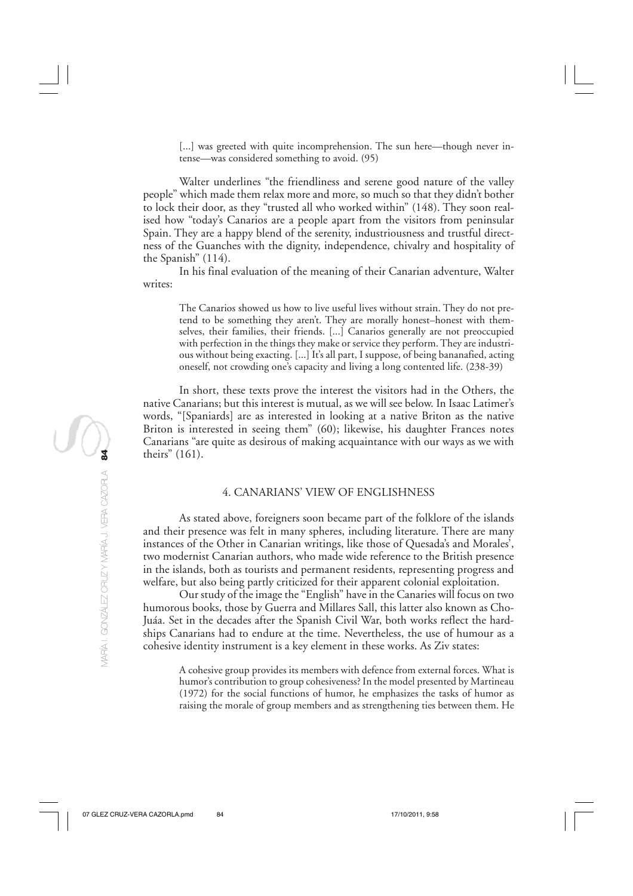[...] was greeted with quite incomprehension. The sun here—though never intense—was considered something to avoid. (95)

Walter underlines "the friendliness and serene good nature of the valley people" which made them relax more and more, so much so that they didn't bother to lock their door, as they "trusted all who worked within" (148). They soon realised how "today's Canarios are a people apart from the visitors from peninsular Spain. They are a happy blend of the serenity, industriousness and trustful directness of the Guanches with the dignity, independence, chivalry and hospitality of the Spanish" (114).

In his final evaluation of the meaning of their Canarian adventure, Walter writes:

The Canarios showed us how to live useful lives without strain. They do not pretend to be something they aren't. They are morally honest–honest with themselves, their families, their friends. [...] Canarios generally are not preoccupied with perfection in the things they make or service they perform. They are industrious without being exacting. [...] It's all part, I suppose, of being bananafied, acting oneself, not crowding one's capacity and living a long contented life. (238-39)

In short, these texts prove the interest the visitors had in the Others, the native Canarians; but this interest is mutual, as we will see below. In Isaac Latimer's words, "[Spaniards] are as interested in looking at a native Briton as the native Briton is interested in seeing them" (60); likewise, his daughter Frances notes Canarians "are quite as desirous of making acquaintance with our ways as we with theirs" (161).

## 4. CANARIANS' VIEW OF ENGLISHNESS

As stated above, foreigners soon became part of the folklore of the islands and their presence was felt in many spheres, including literature. There are many instances of the Other in Canarian writings, like those of Quesada's and Morales', two modernist Canarian authors, who made wide reference to the British presence in the islands, both as tourists and permanent residents, representing progress and welfare, but also being partly criticized for their apparent colonial exploitation.

Our study of the image the "English" have in the Canaries will focus on two humorous books, those by Guerra and Millares Sall, this latter also known as Cho-Juáa. Set in the decades after the Spanish Civil War, both works reflect the hardships Canarians had to endure at the time. Nevertheless, the use of humour as a cohesive identity instrument is a key element in these works. As Ziv states:

A cohesive group provides its members with defence from external forces. What is humor's contribution to group cohesiveness? In the model presented by Martineau (1972) for the social functions of humor, he emphasizes the tasks of humor as raising the morale of group members and as strengthening ties between them. He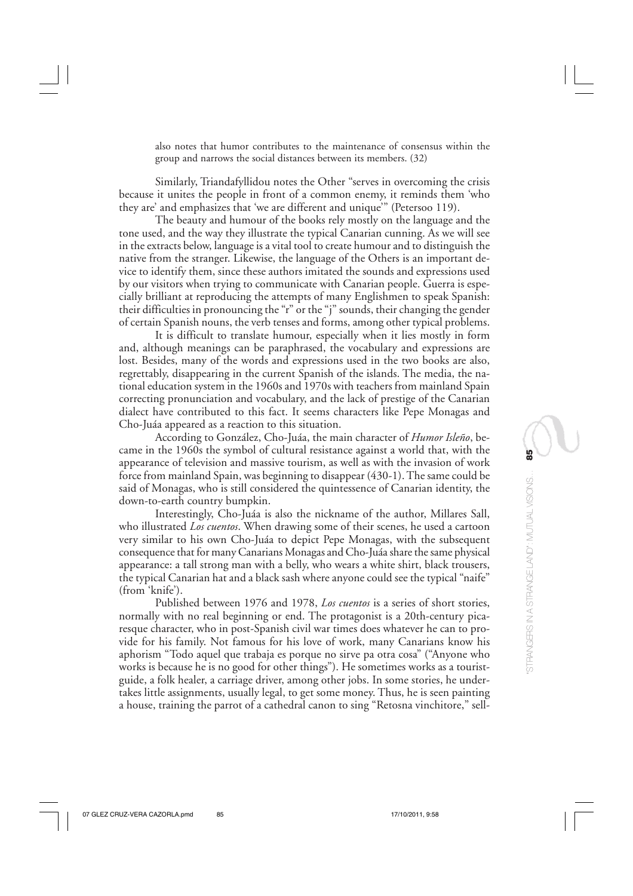also notes that humor contributes to the maintenance of consensus within the group and narrows the social distances between its members. (32)

Similarly, Triandafyllidou notes the Other "serves in overcoming the crisis because it unites the people in front of a common enemy, it reminds them 'who they are' and emphasizes that 'we are different and unique'" (Petersoo 119).

The beauty and humour of the books rely mostly on the language and the tone used, and the way they illustrate the typical Canarian cunning. As we will see in the extracts below, language is a vital tool to create humour and to distinguish the native from the stranger. Likewise, the language of the Others is an important device to identify them, since these authors imitated the sounds and expressions used by our visitors when trying to communicate with Canarian people. Guerra is especially brilliant at reproducing the attempts of many Englishmen to speak Spanish: their difficulties in pronouncing the "r" or the "j" sounds, their changing the gender of certain Spanish nouns, the verb tenses and forms, among other typical problems.

It is difficult to translate humour, especially when it lies mostly in form and, although meanings can be paraphrased, the vocabulary and expressions are lost. Besides, many of the words and expressions used in the two books are also, regrettably, disappearing in the current Spanish of the islands. The media, the national education system in the 1960s and 1970s with teachers from mainland Spain correcting pronunciation and vocabulary, and the lack of prestige of the Canarian dialect have contributed to this fact. It seems characters like Pepe Monagas and Cho-Juáa appeared as a reaction to this situation.

According to González, Cho-Juáa, the main character of *Humor Isleño*, became in the 1960s the symbol of cultural resistance against a world that, with the appearance of television and massive tourism, as well as with the invasion of work force from mainland Spain, was beginning to disappear (430-1). The same could be said of Monagas, who is still considered the quintessence of Canarian identity, the down-to-earth country bumpkin.

Interestingly, Cho-Juáa is also the nickname of the author, Millares Sall, who illustrated *Los cuentos*. When drawing some of their scenes, he used a cartoon very similar to his own Cho-Juáa to depict Pepe Monagas, with the subsequent consequence that for many Canarians Monagas and Cho-Juáa share the same physical appearance: a tall strong man with a belly, who wears a white shirt, black trousers, the typical Canarian hat and a black sash where anyone could see the typical "naife" (from 'knife').

Published between 1976 and 1978, *Los cuentos* is a series of short stories, normally with no real beginning or end. The protagonist is a 20th-century picaresque character, who in post-Spanish civil war times does whatever he can to provide for his family. Not famous for his love of work, many Canarians know his aphorism "Todo aquel que trabaja es porque no sirve pa otra cosa" ("Anyone who works is because he is no good for other things"). He sometimes works as a touristguide, a folk healer, a carriage driver, among other jobs. In some stories, he undertakes little assignments, usually legal, to get some money. Thus, he is seen painting a house, training the parrot of a cathedral canon to sing "Retosna vinchitore," sell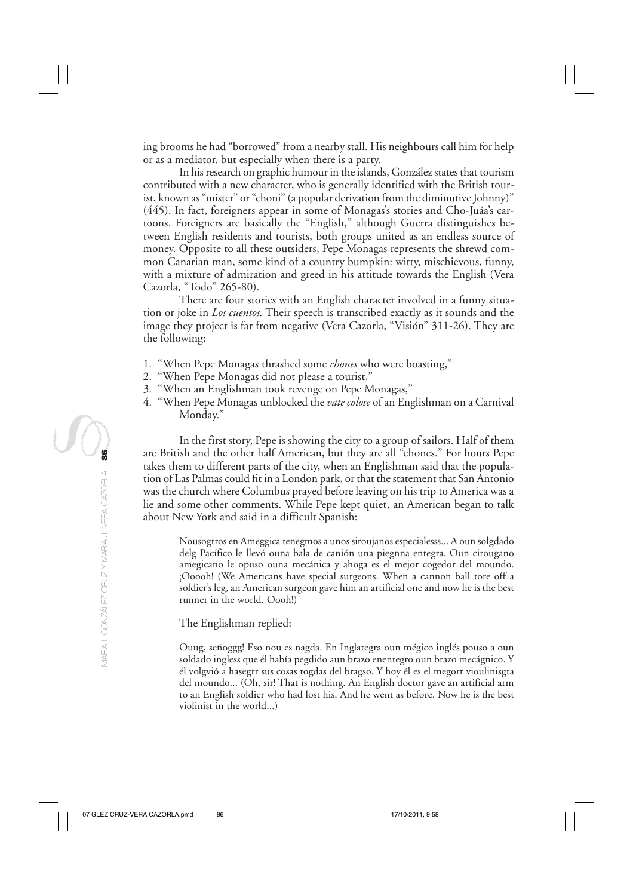ing brooms he had "borrowed" from a nearby stall. His neighbours call him for help or as a mediator, but especially when there is a party.

In his research on graphic humour in the islands, González states that tourism contributed with a new character, who is generally identified with the British tourist, known as "mister" or "choni" (a popular derivation from the diminutive Johnny)" (445). In fact, foreigners appear in some of Monagas's stories and Cho-Juáa's cartoons. Foreigners are basically the "English," although Guerra distinguishes between English residents and tourists, both groups united as an endless source of money. Opposite to all these outsiders, Pepe Monagas represents the shrewd common Canarian man, some kind of a country bumpkin: witty, mischievous, funny, with a mixture of admiration and greed in his attitude towards the English (Vera Cazorla, "Todo" 265-80).

There are four stories with an English character involved in a funny situation or joke in *Los cuentos.* Their speech is transcribed exactly as it sounds and the image they project is far from negative (Vera Cazorla, "Visión" 311-26). They are the following:

- 1. "When Pepe Monagas thrashed some *chones* who were boasting,"
- 2. "When Pepe Monagas did not please a tourist,"
- 3. "When an Englishman took revenge on Pepe Monagas,"
- 4. "When Pepe Monagas unblocked the *vate colose* of an Englishman on a Carnival Monday."

In the first story, Pepe is showing the city to a group of sailors. Half of them are British and the other half American, but they are all "chones." For hours Pepe takes them to different parts of the city, when an Englishman said that the population of Las Palmas could fit in a London park, or that the statement that San Antonio was the church where Columbus prayed before leaving on his trip to America was a lie and some other comments. While Pepe kept quiet, an American began to talk about New York and said in a difficult Spanish:

Nousogtros en Ameggica tenegmos a unos siroujanos especialesss... A oun solgdado delg Pacífico le llevó ouna bala de canión una piegnna entegra. Oun cirougano amegicano le opuso ouna mecánica y ahoga es el mejor cogedor del moundo. ¡Ooooh! (We Americans have special surgeons. When a cannon ball tore off a soldier's leg, an American surgeon gave him an artificial one and now he is the best runner in the world. Oooh!)

The Englishman replied:

Ouug, señoggg! Eso nou es nagda. En Inglategra oun mégico inglés pouso a oun soldado ingless que él había pegdido aun brazo enentegro oun brazo mecágnico. Y él volgvió a hasegrr sus cosas togdas del bragso. Y hoy él es el megorr vioulinisgta del moundo... (Oh, sir! That is nothing. An English doctor gave an artificial arm to an English soldier who had lost his. And he went as before. Now he is the best violinist in the world...)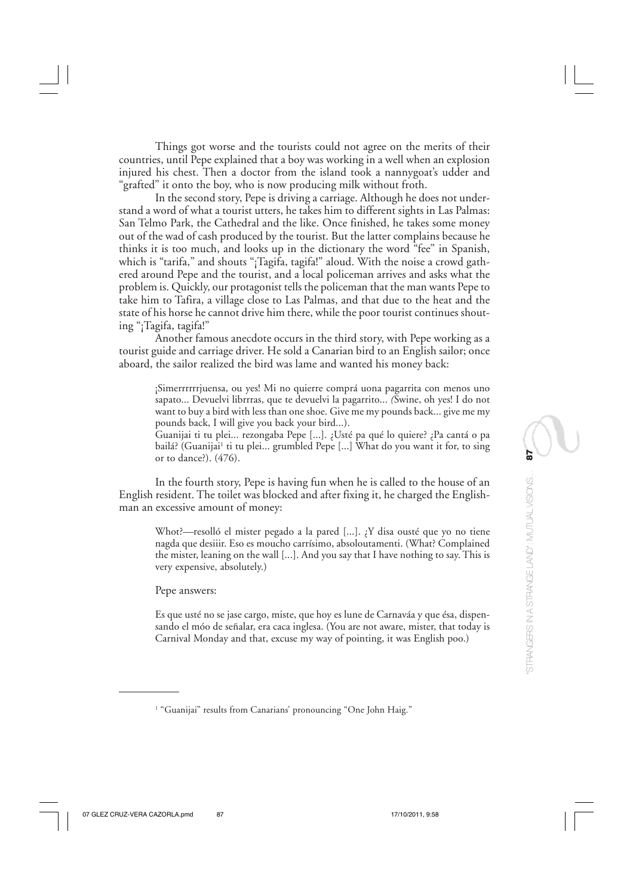Things got worse and the tourists could not agree on the merits of their countries, until Pepe explained that a boy was working in a well when an explosion injured his chest. Then a doctor from the island took a nannygoat's udder and "grafted" it onto the boy, who is now producing milk without froth.

In the second story, Pepe is driving a carriage. Although he does not understand a word of what a tourist utters, he takes him to different sights in Las Palmas: San Telmo Park, the Cathedral and the like. Once finished, he takes some money out of the wad of cash produced by the tourist. But the latter complains because he thinks it is too much, and looks up in the dictionary the word "fee" in Spanish, which is "tarifa," and shouts "¡Tagifa, tagifa!" aloud. With the noise a crowd gathered around Pepe and the tourist, and a local policeman arrives and asks what the problem is. Quickly, our protagonist tells the policeman that the man wants Pepe to take him to Tafira, a village close to Las Palmas, and that due to the heat and the state of his horse he cannot drive him there, while the poor tourist continues shouting "¡Tagifa, tagifa!"

Another famous anecdote occurs in the third story, with Pepe working as a tourist guide and carriage driver. He sold a Canarian bird to an English sailor; once aboard, the sailor realized the bird was lame and wanted his money back:

¡Simerrrrrrjuensa, ou yes! Mi no quierre comprá uona pagarrita con menos uno sapato... Devuelvi librrras, que te devuelvi la pagarrito... *(*Swine, oh yes! I do not want to buy a bird with less than one shoe. Give me my pounds back... give me my pounds back, I will give you back your bird...).

Guanijai ti tu plei... rezongaba Pepe [...]. ¿Usté pa qué lo quiere? ¿Pa cantá o pa bailá? (Guanijai<sup>1</sup> ti tu plei... grumbled Pepe [...] What do you want it for, to sing or to dance?). (476).

In the fourth story, Pepe is having fun when he is called to the house of an English resident. The toilet was blocked and after fixing it, he charged the Englishman an excessive amount of money:

Whot?—resolló el mister pegado a la pared [...]. ¿Y disa ousté que yo no tiene nagda que desiiir. Eso es moucho carrísimo, absoloutamenti. (What? Complained the mister, leaning on the wall [...]. And you say that I have nothing to say. This is very expensive, absolutely.)

Pepe answers:

Es que usté no se jase cargo, miste, que hoy es lune de Carnaváa y que ésa, dispensando el móo de señalar, era caca inglesa. (You are not aware, mister, that today is Carnival Monday and that, excuse my way of pointing, it was English poo.)

<sup>1</sup> "Guanijai" results from Canarians' pronouncing "One John Haig."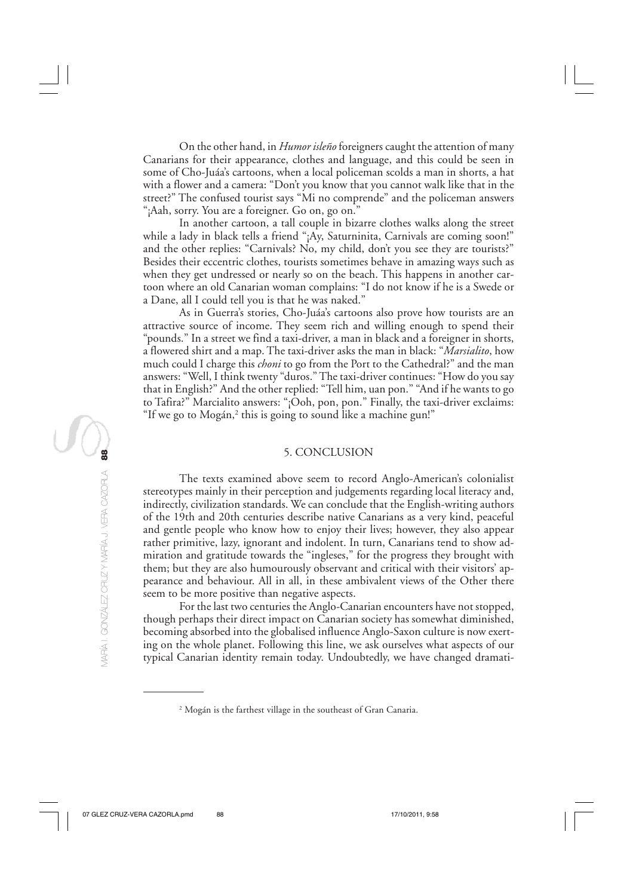On the other hand, in *Humor isleño* foreigners caught the attention of many Canarians for their appearance, clothes and language, and this could be seen in some of Cho-Juáa's cartoons, when a local policeman scolds a man in shorts, a hat with a flower and a camera: "Don't you know that you cannot walk like that in the street?" The confused tourist says "Mi no comprende" and the policeman answers "¡Aah, sorry. You are a foreigner. Go on, go on."

In another cartoon, a tall couple in bizarre clothes walks along the street while a lady in black tells a friend "¡Ay, Saturninita, Carnivals are coming soon!" and the other replies: "Carnivals? No, my child, don't you see they are tourists?" Besides their eccentric clothes, tourists sometimes behave in amazing ways such as when they get undressed or nearly so on the beach. This happens in another cartoon where an old Canarian woman complains: "I do not know if he is a Swede or a Dane, all I could tell you is that he was naked."

As in Guerra's stories, Cho-Juáa's cartoons also prove how tourists are an attractive source of income. They seem rich and willing enough to spend their "pounds." In a street we find a taxi-driver, a man in black and a foreigner in shorts, a flowered shirt and a map. The taxi-driver asks the man in black: "*Marsialito*, how much could I charge this *choni* to go from the Port to the Cathedral?" and the man answers: "Well, I think twenty "duros." The taxi-driver continues: "How do you say that in English?" And the other replied: "Tell him, uan pon." "And if he wants to go to Tafira?" Marcialito answers: "¡Ooh, pon, pon." Finally, the taxi-driver exclaims: "If we go to  $M$ ogán, $^2$  this is going to sound like a machine gun!"

# 5. CONCLUSION

The texts examined above seem to record Anglo-American's colonialist stereotypes mainly in their perception and judgements regarding local literacy and, indirectly, civilization standards. We can conclude that the English-writing authors of the 19th and 20th centuries describe native Canarians as a very kind, peaceful and gentle people who know how to enjoy their lives; however, they also appear rather primitive, lazy, ignorant and indolent. In turn, Canarians tend to show admiration and gratitude towards the "ingleses," for the progress they brought with them; but they are also humourously observant and critical with their visitors' appearance and behaviour. All in all, in these ambivalent views of the Other there seem to be more positive than negative aspects.

For the last two centuries the Anglo-Canarian encounters have not stopped, though perhaps their direct impact on Canarian society has somewhat diminished, becoming absorbed into the globalised influence Anglo-Saxon culture is now exerting on the whole planet. Following this line, we ask ourselves what aspects of our typical Canarian identity remain today. Undoubtedly, we have changed dramati-

<sup>2</sup> Mogán is the farthest village in the southeast of Gran Canaria.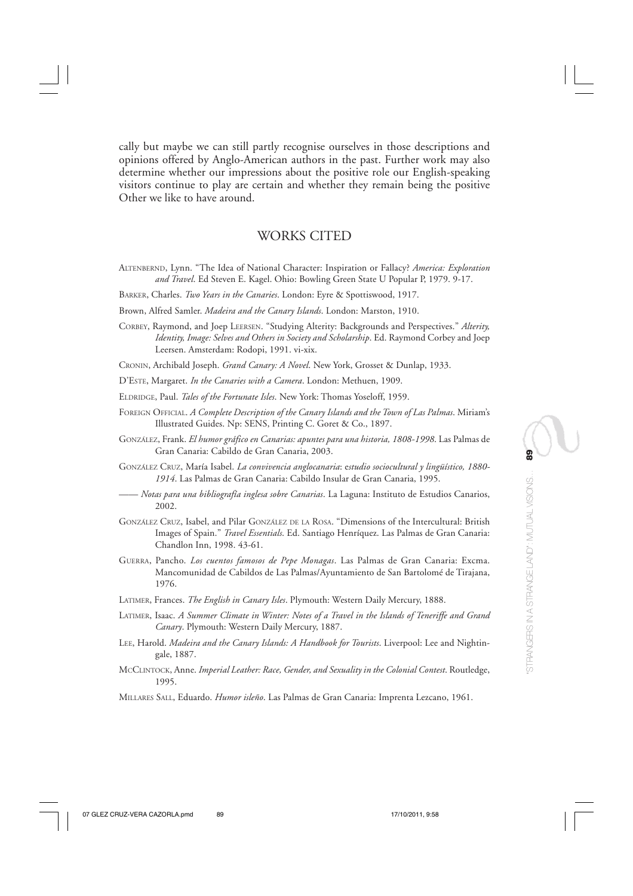cally but maybe we can still partly recognise ourselves in those descriptions and opinions offered by Anglo-American authors in the past. Further work may also determine whether our impressions about the positive role our English-speaking visitors continue to play are certain and whether they remain being the positive Other we like to have around.

# WORKS CITED

- ALTENBERND, Lynn. "The Idea of National Character: Inspiration or Fallacy? *America: Exploration and Travel*. Ed Steven E. Kagel. Ohio: Bowling Green State U Popular P, 1979. 9-17.
- BARKER, Charles. *Two Years in the Canaries*. London: Eyre & Spottiswood, 1917.
- Brown, Alfred Samler. *Madeira and the Canary Islands*. London: Marston, 1910.
- CORBEY, Raymond, and Joep LEERSEN. "Studying Alterity: Backgrounds and Perspectives." *Alterity, Identity, Image: Selves and Others in Society and Scholarship*. Ed. Raymond Corbey and Joep Leersen. Amsterdam: Rodopi, 1991. vi-xix.

CRONIN, Archibald Joseph. *Grand Canary: A Novel*. New York, Grosset & Dunlap, 1933.

- D'ESTE, Margaret. *In the Canaries with a Camera*. London: Methuen, 1909.
- ELDRIDGE, Paul. *Tales of the Fortunate Isles*. New York: Thomas Yoseloff, 1959.
- FOREIGN OFFICIAL. *A Complete Description of the Canary Islands and the Town of Las Palmas*. Miriam's Illustrated Guides. Np: SENS, Printing C. Goret & Co., 1897.
- GONZÁLEZ, Frank. *El humor gráfico en Canarias: apuntes para una historia, 1808-1998*. Las Palmas de Gran Canaria: Cabildo de Gran Canaria, 2003.
- GONZÁLEZ CRUZ, María Isabel. *La convivencia anglocanaria*: e*studio sociocultural y lingüístico, 1880- 1914*. Las Palmas de Gran Canaria: Cabildo Insular de Gran Canaria, 1995.
- —— *Notas para una bibliografía inglesa sobre Canarias*. La Laguna: Instituto de Estudios Canarios, 2002.
- GONZÁLEZ CRUZ, Isabel, and Pilar GONZÁLEZ DE LA ROSA. "Dimensions of the Intercultural: British Images of Spain." *Travel Essentials*. Ed. Santiago Henríquez. Las Palmas de Gran Canaria: Chandlon Inn, 1998. 43-61.
- GUERRA, Pancho. *Los cuentos famosos de Pepe Monagas*. Las Palmas de Gran Canaria: Excma. Mancomunidad de Cabildos de Las Palmas/Ayuntamiento de San Bartolomé de Tirajana, 1976.
- LATIMER, Frances. *The English in Canary Isles*. Plymouth: Western Daily Mercury, 1888.
- LATIMER, Isaac. *A Summer Climate in Winter: Notes of a Travel in the Islands of Teneriffe and Grand Canary*. Plymouth: Western Daily Mercury, 1887.
- LEE, Harold. *Madeira and the Canary Islands: A Handbook for Tourists*. Liverpool: Lee and Nightingale, 1887.
- MCCLINTOCK, Anne. *Imperial Leather: Race, Gender, and Sexuality in the Colonial Contest*. Routledge, 1995.
- MILLARES SALL, Eduardo. *Humor isleño*. Las Palmas de Gran Canaria: Imprenta Lezcano, 1961.